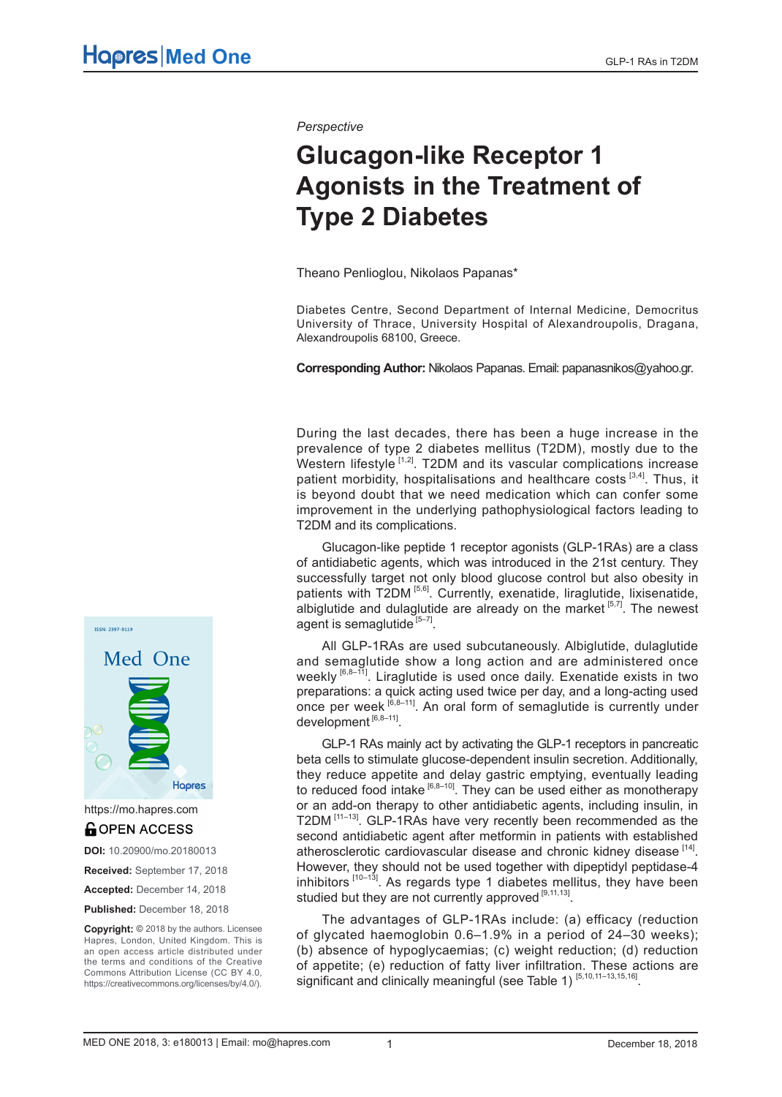*Perspective*

# **Glucagon-like Receptor 1 Agonists in the Treatment of Type 2 Diabetes**

Theano Penlioglou, Nikolaos Papanas\*

Diabetes Centre, Second Department of Internal Medicine, Democritus University of Thrace, University Hospital of Alexandroupolis, Dragana, Alexandroupolis 68100, Greece.

**Corresponding Author:** Nikolaos Papanas. Email: papanasnikos@yahoo.gr.

During the last decades, there has been a huge increase in the prevalence of type 2 diabetes mellitus (T2DM), mostly due to the Western lifestyle  $[1,2]$ . T2DM and its vascular complications increase patient morbidity, hospitalisations and healthcare costs<sup>[3,4]</sup>. Thus, it is beyond doubt that we need medication which can confer some improvement in the underlying pathophysiological factors leading to T2DM and its complications.

Glucagon-like peptide 1 receptor agonists (GLP-1RAs) are a class of antidiabetic agents, which was introduced in the 21st century. They successfully target not only blood glucose control but also obesity in patients with T2DM<sup>[5,6]</sup>. Currently, exenatide, liraglutide, lixisenatide, albiglutide and dulaglutide are already on the market  $[5,7]$ . The newest agent is semaglutide  $[5-7]$ .

All GLP-1RAs are used subcutaneously. Albiglutide, dulaglutide and semaglutide show a long action and are administered once weekly  $[6,8-\tilde{1}]$ . Liraglutide is used once daily. Exenatide exists in two preparations: a quick acting used twice per day, and a long-acting used once per week  $[6,8-11]$ . An oral form of semaglutide is currently under development<sup>[6,8-11]</sup>.

GLP-1 RAs mainly act by activating the GLP-1 receptors in pancreatic beta cells to stimulate glucose-dependent insulin secretion. Additionally, they reduce appetite and delay gastric emptying, eventually leading to reduced food intake  $[6,8-10]$ . They can be used either as monotherapy or an add-on therapy to other antidiabetic agents, including insulin, in T2DM [11-13]. GLP-1RAs have very recently been recommended as the second antidiabetic agent after metformin in patients with established atherosclerotic cardiovascular disease and chronic kidney disease [14]. However, they should not be used together with dipeptidyl peptidase-4 inhibitors  $[10-13]$ . As regards type 1 diabetes mellitus, they have been studied but they are not currently approved  $[9,11,13]$ .

The advantages of GLP-1RAs include: (a) efficacy (reduction of glycated haemoglobin 0.6–1.9% in a period of 24–30 weeks); (b) absence of hypoglycaemias; (c) weight reduction; (d) reduction of appetite; (e) reduction of fatty liver infiltration. These actions are significant and clinically meaningful (see Table 1)<sup>[5,10,11-13,15,16]</sup>.



https://mo.hapres.com**GOPEN ACCESS** 

**DOI:** 10.20900/mo.20180013

**Received:** September 17, 2018

**Accepted:** December 14, 2018

**Published:** December 18, 2018

**Copyright: ©** 2018 by the authors. Licensee Hapres, London, United Kingdom. This is an open access article distributed under the terms and conditions of the Creative Commons Attribution License (CC BY 4.0, https://creativecommons.org/licenses/by/4.0/).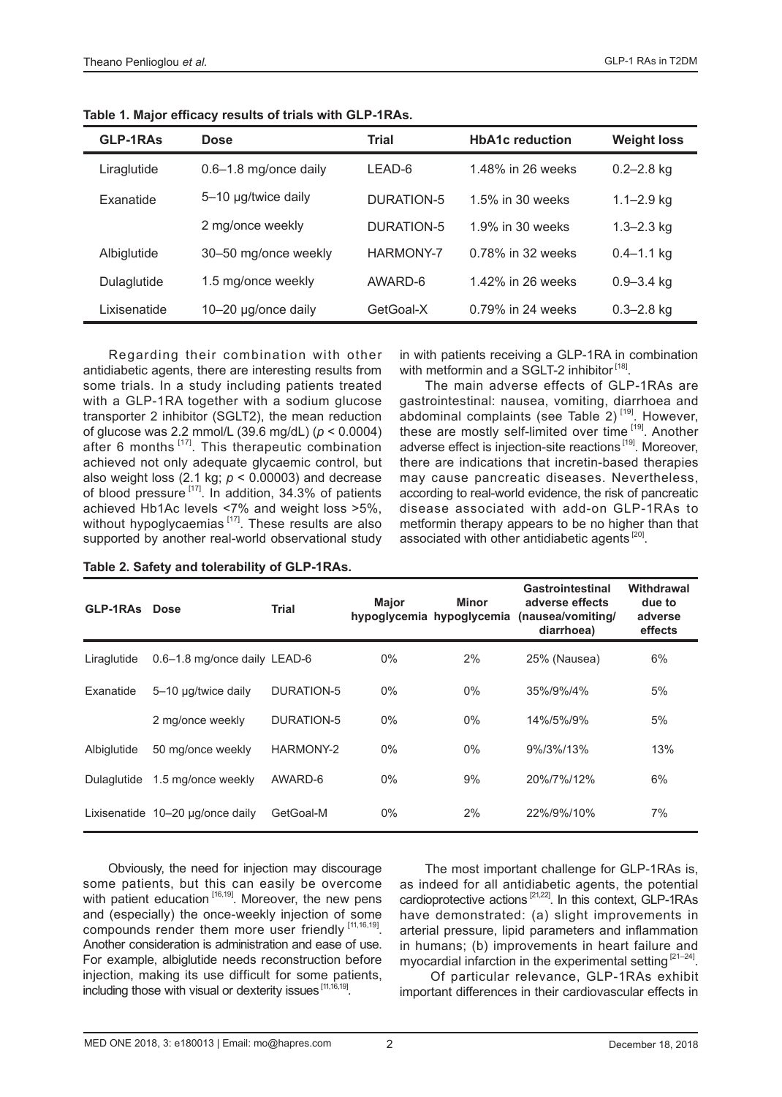| GLP-1RAs     | <b>Dose</b>            | Trial      | <b>HbA1c</b> reduction | <b>Weight loss</b> |
|--------------|------------------------|------------|------------------------|--------------------|
| Liraglutide  | 0.6-1.8 mg/once daily  | LEAD-6     | 1.48% in 26 weeks      | $0.2 - 2.8$ kg     |
| Exanatide    | 5-10 µg/twice daily    | DURATION-5 | 1.5% in 30 weeks       | $1.1 - 2.9$ kg     |
|              | 2 mg/once weekly       | DURATION-5 | 1.9% in 30 weeks       | $1.3 - 2.3$ kg     |
| Albiglutide  | 30-50 mg/once weekly   | HARMONY-7  | 0.78% in 32 weeks      | $0.4 - 1.1$ kg     |
| Dulaglutide  | 1.5 mg/once weekly     | AWARD-6    | 1.42% in 26 weeks      | $0.9 - 3.4$ kg     |
| Lixisenatide | 10 $-20$ µg/once daily | GetGoal-X  | 0.79% in 24 weeks      | $0.3 - 2.8$ kg     |

**Table 1. Major efficacy results of trials with GLP-1RAs.**

Regarding their combination with other antidiabetic agents, there are interesting results from some trials. In a study including patients treated with a GLP-1RA together with a sodium glucose transporter 2 inhibitor (SGLT2), the mean reduction of glucose was 2.2 mmol/L (39.6 mg/dL) (*p* < 0.0004) after 6 months <sup>[17]</sup>. This therapeutic combination achieved not only adequate glycaemic control, but also weight loss  $(2.1 \text{ kg}; p < 0.00003)$  and decrease of blood pressure [17]. In addition, 34.3% of patients achieved Hb1Ac levels <7% and weight loss >5%, without hypoglycaemias  $[17]$ . These results are also supported by another real-world observational study

**Table 2. Safety and tolerability of GLP-1RAs.**

in with patients receiving a GLP-1RA in combination with metformin and a SGLT-2 inhibitor<sup>[18]</sup>.

The main adverse effects of GLP-1RAs are gastrointestinal: nausea, vomiting, diarrhoea and abdominal complaints (see Table 2) $[19]$ . However, these are mostly self-limited over time [19]. Another adverse effect is injection-site reactions<sup>[19]</sup>. Moreover, there are indications that incretin-based therapies may cause pancreatic diseases. Nevertheless, according to real-world evidence, the risk of pancreatic disease associated with add-on GLP-1RAs to metformin therapy appears to be no higher than that associated with other antidiabetic agents<sup>[20]</sup>.

| <b>GLP-1RAs</b> | <b>Dose</b>                      | <b>Trial</b>      | <b>Major</b> | Minor<br>hypoglycemia hypoglycemia | <b>Gastrointestinal</b><br>adverse effects<br>(nausea/vomiting/<br>diarrhoea) | Withdrawal<br>due to<br>adverse<br>effects |
|-----------------|----------------------------------|-------------------|--------------|------------------------------------|-------------------------------------------------------------------------------|--------------------------------------------|
| Liraglutide     | 0.6-1.8 mg/once daily LEAD-6     |                   | $0\%$        | 2%                                 | 25% (Nausea)                                                                  | 6%                                         |
| Exanatide       | 5-10 µg/twice daily              | <b>DURATION-5</b> | $0\%$        | $0\%$                              | 35%/9%/4%                                                                     | 5%                                         |
|                 | 2 mg/once weekly                 | <b>DURATION-5</b> | $0\%$        | $0\%$                              | 14%/5%/9%                                                                     | 5%                                         |
| Albiglutide     | 50 mg/once weekly                | HARMONY-2         | $0\%$        | $0\%$                              | 9%/3%/13%                                                                     | 13%                                        |
| Dulaglutide     | 1.5 mg/once weekly               | AWARD-6           | $0\%$        | 9%                                 | 20%/7%/12%                                                                    | 6%                                         |
|                 | Lixisenatide 10-20 µg/once daily | GetGoal-M         | $0\%$        | 2%                                 | 22%/9%/10%                                                                    | 7%                                         |

#### Obviously, the need for injection may discourage some patients, but this can easily be overcome with patient education [16,19]. Moreover, the new pens and (especially) the once-weekly injection of some compounds render them more user friendly [11,16,19]. Another consideration is administration and ease of use. For example, albiglutide needs reconstruction before injection, making its use difficult for some patients, including those with visual or dexterity issues [11,16,19].

The most important challenge for GLP-1RAs is, as indeed for all antidiabetic agents, the potential cardioprotective actions [21,22]. In this context, GLP-1RAs have demonstrated: (a) slight improvements in arterial pressure, lipid parameters and inflammation in humans; (b) improvements in heart failure and myocardial infarction in the experimental setting [21-24].

 Of particular relevance, GLP-1RAs exhibit important differences in their cardiovascular effects in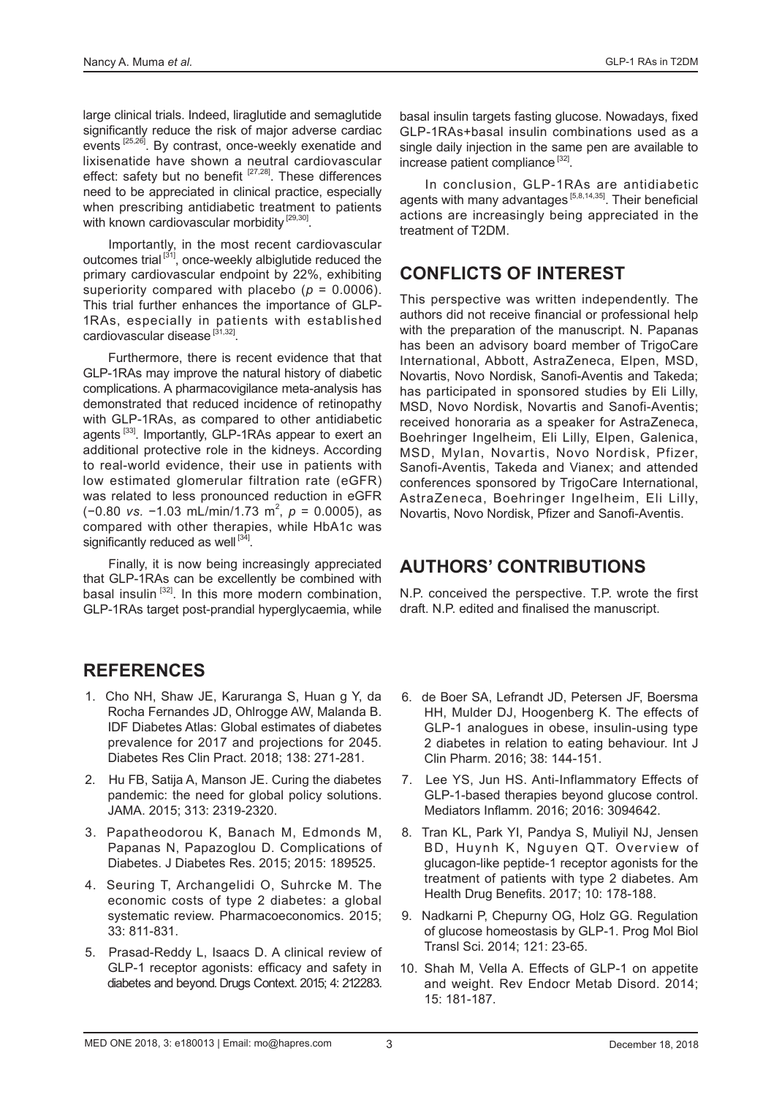large clinical trials. Indeed, liraglutide and semaglutide significantly reduce the risk of major adverse cardiac events [25,26]. By contrast, once-weekly exenatide and lixisenatide have shown a neutral cardiovascular effect: safety but no benefit  $[27,28]$ . These differences need to be appreciated in clinical practice, especially when prescribing antidiabetic treatment to patients with known cardiovascular morbidity<sup>[29,30]</sup>.

Importantly, in the most recent cardiovascular outcomes trial [31], once-weekly albiglutide reduced the primary cardiovascular endpoint by 22%, exhibiting superiority compared with placebo ( $p = 0.0006$ ). This trial further enhances the importance of GLP-1RAs, especially in patients with established cardiovascular disease  $[31,32]$ .

Furthermore, there is recent evidence that that GLP-1RAs may improve the natural history of diabetic complications. A pharmacovigilance meta-analysis has demonstrated that reduced incidence of retinopathy with GLP-1RAs, as compared to other antidiabetic agents<sup>[33]</sup>. Importantly, GLP-1RAs appear to exert an additional protective role in the kidneys. According to real-world evidence, their use in patients with low estimated glomerular filtration rate (eGFR) was related to less pronounced reduction in eGFR (−0.80 *vs.* −1.03 mL/min/1.73 m<sup>2</sup> , *p* = 0.0005), as compared with other therapies, while HbA1c was significantly reduced as well [34].

Finally, it is now being increasingly appreciated that GLP-1RAs can be excellently be combined with basal insulin <sup>[32]</sup>. In this more modern combination, GLP-1RAs target post-prandial hyperglycaemia, while

### **REFERENCES**

- 1. Cho NH, Shaw JE, Karuranga S, Huan g Y, da Rocha Fernandes JD, Ohlrogge AW, Malanda B. IDF Diabetes Atlas: Global estimates of diabetes prevalence for 2017 and projections for 2045. Diabetes Res Clin Pract. 2018; 138: 271-281.
- 2. Hu FB, Satija A, Manson JE. Curing the diabetes pandemic: the need for global policy solutions. JAMA. 2015; 313: 2319-2320.
- 3. Papatheodorou K, Banach M, Edmonds M, Papanas N, Papazoglou D. Complications of Diabetes. J Diabetes Res. 2015; 2015: 189525.
- 4. Seuring T, Archangelidi O, Suhrcke M. The economic costs of type 2 diabetes: a global systematic review. Pharmacoeconomics. 2015; 33: 811-831.
- 5. Prasad-Reddy L, Isaacs D. A clinical review of GLP-1 receptor agonists: efficacy and safety in diabetes and beyond. Drugs Context. 2015; 4: 212283.

basal insulin targets fasting glucose. Nowadays, fixed GLP-1RAs+basal insulin combinations used as a single daily injection in the same pen are available to increase patient compliance<sup>[32]</sup>.

In conclusion, GLP-1RAs are antidiabetic agents with many advantages<sup>[5,8,14,35]</sup>. Their beneficial actions are increasingly being appreciated in the treatment of T2DM.

## **CONFLICTS OF INTEREST**

This perspective was written independently. The authors did not receive financial or professional help with the preparation of the manuscript. N. Papanas has been an advisory board member of TrigoCare International, Abbott, AstraZeneca, Elpen, MSD, Novartis, Novo Nordisk, Sanofi-Aventis and Takeda; has participated in sponsored studies by Eli Lilly, MSD, Novo Nordisk, Novartis and Sanofi-Aventis; received honoraria as a speaker for AstraZeneca, Boehringer Ingelheim, Eli Lilly, Elpen, Galenica, MSD, Mylan, Novartis, Novo Nordisk, Pfizer, Sanofi-Aventis, Takeda and Vianex; and attended conferences sponsored by TrigoCare International, AstraZeneca, Boehringer Ingelheim, Eli Lilly, Novartis, Novo Nordisk, Pfizer and Sanofi-Aventis.

#### **AUTHORS' CONTRIBUTIONS**

N.P. conceived the perspective. T.P. wrote the first draft. N.P. edited and finalised the manuscript.

- 6. de Boer SA, Lefrandt JD, Petersen JF, Boersma HH, Mulder DJ, Hoogenberg K. The effects of GLP-1 analogues in obese, insulin-using type 2 diabetes in relation to eating behaviour. Int J Clin Pharm. 2016; 38: 144-151.
- 7. Lee YS, Jun HS. Anti-Inflammatory Effects of GLP-1-based therapies beyond glucose control. Mediators Inflamm. 2016; 2016: 3094642.
- 8. Tran KL, Park YI, Pandya S, Muliyil NJ, Jensen BD, Huynh K, Nguyen QT. Overview of glucagon-like peptide-1 receptor agonists for the treatment of patients with type 2 diabetes. Am Health Drug Benefits. 2017; 10: 178-188.
- 9. Nadkarni P, Chepurny OG, Holz GG. Regulation of glucose homeostasis by GLP-1. Prog Mol Biol Transl Sci. 2014; 121: 23-65.
- 10. Shah M, Vella A. Effects of GLP-1 on appetite and weight. Rev Endocr Metab Disord. 2014; 15: 181-187.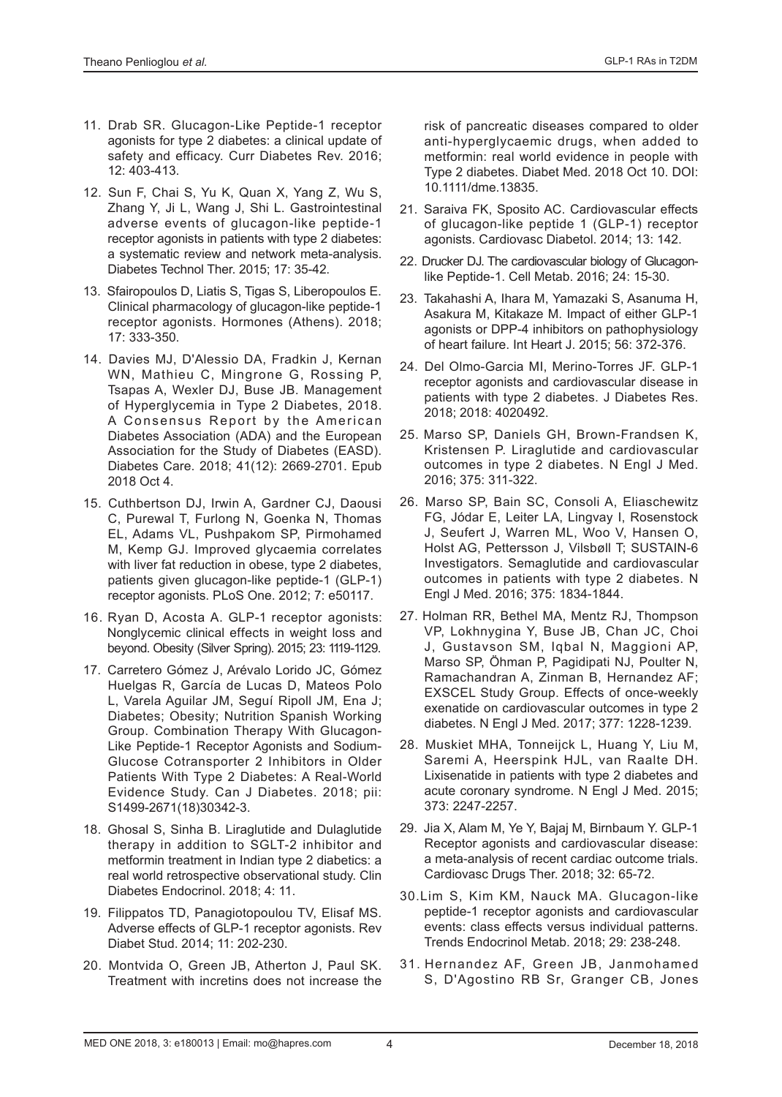- 11. Drab SR. Glucagon-Like Peptide-1 receptor agonists for type 2 diabetes: a clinical update of safety and efficacy. Curr Diabetes Rev. 2016; 12: 403-413.
- 12. Sun F, Chai S, Yu K, Quan X, Yang Z, Wu S, Zhang Y, Ji L, Wang J, Shi L. Gastrointestinal adverse events of glucagon-like peptide-1 receptor agonists in patients with type 2 diabetes: a systematic review and network meta-analysis. Diabetes Technol Ther. 2015; 17: 35-42.
- 13. Sfairopoulos D, Liatis S, Tigas S, Liberopoulos E. Clinical pharmacology of glucagon-like peptide-1 receptor agonists. Hormones (Athens). 2018; 17: 333-350.
- 14. Davies MJ, D'Alessio DA, Fradkin J, Kernan WN, Mathieu C, Mingrone G, Rossing P, Tsapas A, Wexler DJ, Buse JB. Management of Hyperglycemia in Type 2 Diabetes, 2018. A Consensus Report by the American Diabetes Association (ADA) and the European Association for the Study of Diabetes (EASD). Diabetes Care. 2018; 41(12): 2669-2701. Epub 2018 Oct 4.
- 15. Cuthbertson DJ, Irwin A, Gardner CJ, Daousi C, Purewal T, Furlong N, Goenka N, Thomas EL, Adams VL, Pushpakom SP, Pirmohamed M, Kemp GJ. Improved glycaemia correlates with liver fat reduction in obese, type 2 diabetes, patients given glucagon-like peptide-1 (GLP-1) receptor agonists. PLoS One. 2012; 7: e50117.
- 16. Ryan D, Acosta A. GLP-1 receptor agonists: Nonglycemic clinical effects in weight loss and beyond. Obesity (Silver Spring). 2015; 23: 1119-1129.
- 17. Carretero Gómez J, Arévalo Lorido JC, Gómez Huelgas R, García de Lucas D, Mateos Polo L, Varela Aguilar JM, Seguí Ripoll JM, Ena J; Diabetes; Obesity; Nutrition Spanish Working Group. Combination Therapy With Glucagon-Like Peptide-1 Receptor Agonists and Sodium-Glucose Cotransporter 2 Inhibitors in Older Patients With Type 2 Diabetes: A Real-World Evidence Study. Can J Diabetes. 2018; pii: S1499-2671(18)30342-3.
- 18. Ghosal S, Sinha B. Liraglutide and Dulaglutide therapy in addition to SGLT-2 inhibitor and metformin treatment in Indian type 2 diabetics: a real world retrospective observational study. Clin Diabetes Endocrinol. 2018; 4: 11.
- 19. Filippatos TD, Panagiotopoulou TV, Elisaf MS. Adverse effects of GLP-1 receptor agonists. Rev Diabet Stud. 2014; 11: 202-230.
- 20. Montvida O, Green JB, Atherton J, Paul SK. Treatment with incretins does not increase the

risk of pancreatic diseases compared to older anti-hyperglycaemic drugs, when added to metformin: real world evidence in people with Type 2 diabetes. Diabet Med. 2018 Oct 10. DOI: 10.1111/dme.13835.

- 21. Saraiva FK, Sposito AC. Cardiovascular effects of glucagon-like peptide 1 (GLP-1) receptor agonists. Cardiovasc Diabetol. 2014; 13: 142.
- 22. Drucker DJ. The cardiovascular biology of Glucagonlike Peptide-1. Cell Metab. 2016; 24: 15-30.
- 23. Takahashi A, Ihara M, Yamazaki S, Asanuma H, Asakura M, Kitakaze M. Impact of either GLP-1 agonists or DPP-4 inhibitors on pathophysiology of heart failure. Int Heart J. 2015; 56: 372-376.
- 24. Del Olmo-Garcia MI, Merino-Torres JF. GLP-1 receptor agonists and cardiovascular disease in patients with type 2 diabetes. J Diabetes Res. 2018; 2018: 4020492.
- 25. Marso SP, Daniels GH, Brown-Frandsen K, Kristensen P. Liraglutide and cardiovascular outcomes in type 2 diabetes. N Engl J Med. 2016; 375: 311-322.
- 26. Marso SP, Bain SC, Consoli A, Eliaschewitz FG, Jódar E, Leiter LA, Lingvay I, Rosenstock J, Seufert J, Warren ML, Woo V, Hansen O, Holst AG, Pettersson J, Vilsbøll T; SUSTAIN-6 Investigators. Semaglutide and cardiovascular outcomes in patients with type 2 diabetes. N Engl J Med. 2016; 375: 1834-1844.
- 27. Holman RR, Bethel MA, Mentz RJ, Thompson VP, Lokhnygina Y, Buse JB, Chan JC, Choi J, Gustavson SM, Iqbal N, Maggioni AP, Marso SP, Öhman P, Pagidipati NJ, Poulter N, Ramachandran A, Zinman B, Hernandez AF; EXSCEL Study Group. Effects of once-weekly exenatide on cardiovascular outcomes in type 2 diabetes. N Engl J Med. 2017; 377: 1228-1239.
- 28. Muskiet MHA, Tonneijck L, Huang Y, Liu M, Saremi A, Heerspink HJL, van Raalte DH. Lixisenatide in patients with type 2 diabetes and acute coronary syndrome. N Engl J Med. 2015; 373: 2247-2257.
- 29. Jia X, Alam M, Ye Y, Bajaj M, Birnbaum Y. GLP-1 Receptor agonists and cardiovascular disease: a meta-analysis of recent cardiac outcome trials. Cardiovasc Drugs Ther. 2018; 32: 65-72.
- 30.Lim S, Kim KM, Nauck MA. Glucagon-like peptide-1 receptor agonists and cardiovascular events: class effects versus individual patterns. Trends Endocrinol Metab. 2018; 29: 238-248.
- 31. Hernandez AF, Green JB, Janmohamed S, D'Agostino RB Sr, Granger CB, Jones